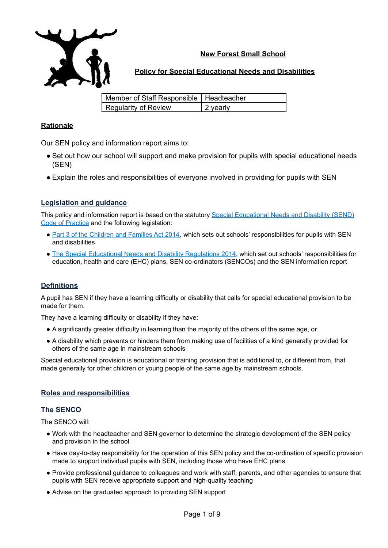

# **New Forest Small School**

# **Policy for Special Educational Needs and Disabilities**

| Member of Staff Responsible   Headteacher |                  |
|-------------------------------------------|------------------|
| Regularity of Review                      | $\vert$ 2 yearly |

## **Rationale**

Our SEN policy and information report aims to:

- Set out how our school will support and make provision for pupils with special educational needs (SEN)
- Explain the roles and responsibilities of everyone involved in providing for pupils with SEN

# **Legislation and guidance**

This policy and information report is based on the statutory Special [Educational](https://www.gov.uk/government/uploads/system/uploads/attachment_data/file/398815/SEND_Code_of_Practice_January_2015.pdf) Needs and Disability (SEND) Code of [Practice](https://www.gov.uk/government/uploads/system/uploads/attachment_data/file/398815/SEND_Code_of_Practice_January_2015.pdf) and the following legislation:

- Part 3 of the [Children](http://www.legislation.gov.uk/ukpga/2014/6/part/3) and Families Act 2014, which sets out schools' responsibilities for pupils with SEN and disabilities
- The Special Educational Needs and Disability [Regulations](http://www.legislation.gov.uk/uksi/2014/1530/contents/made) 2014, which set out schools' responsibilities for education, health and care (EHC) plans, SEN co-ordinators (SENCOs) and the SEN information report

## **Definitions**

A pupil has SEN if they have a learning difficulty or disability that calls for special educational provision to be made for them.

They have a learning difficulty or disability if they have:

- A significantly greater difficulty in learning than the majority of the others of the same age, or
- A disability which prevents or hinders them from making use of facilities of a kind generally provided for others of the same age in mainstream schools

Special educational provision is educational or training provision that is additional to, or different from, that made generally for other children or young people of the same age by mainstream schools.

# **Roles and responsibilities**

## **The SENCO**

The SENCO will:

- Work with the headteacher and SEN governor to determine the strategic development of the SEN policy and provision in the school
- Have day-to-day responsibility for the operation of this SEN policy and the co-ordination of specific provision made to support individual pupils with SEN, including those who have EHC plans
- Provide professional guidance to colleagues and work with staff, parents, and other agencies to ensure that pupils with SEN receive appropriate support and high-quality teaching
- Advise on the graduated approach to providing SEN support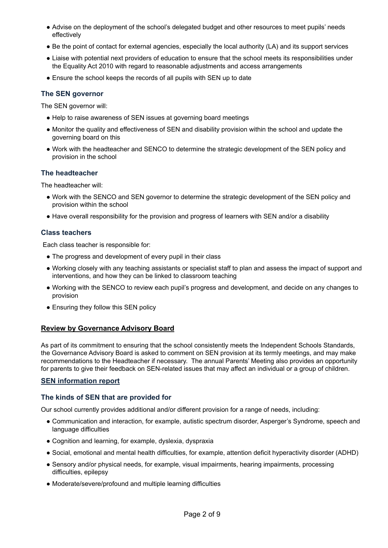- Advise on the deployment of the school's delegated budget and other resources to meet pupils' needs effectively
- Be the point of contact for external agencies, especially the local authority (LA) and its support services
- Liaise with potential next providers of education to ensure that the school meets its responsibilities under the Equality Act 2010 with regard to reasonable adjustments and access arrangements
- Ensure the school keeps the records of all pupils with SEN up to date

## **The SEN governor**

The SEN governor will:

- Help to raise awareness of SEN issues at governing board meetings
- Monitor the quality and effectiveness of SEN and disability provision within the school and update the governing board on this
- Work with the headteacher and SENCO to determine the strategic development of the SEN policy and provision in the school

## **The headteacher**

The headteacher will:

- Work with the SENCO and SEN governor to determine the strategic development of the SEN policy and provision within the school
- Have overall responsibility for the provision and progress of learners with SEN and/or a disability

## **Class teachers**

Each class teacher is responsible for:

- The progress and development of every pupil in their class
- Working closely with any teaching assistants or specialist staff to plan and assess the impact of support and interventions, and how they can be linked to classroom teaching
- Working with the SENCO to review each pupil's progress and development, and decide on any changes to provision
- Ensuring they follow this SEN policy

## **Review by Governance Advisory Board**

As part of its commitment to ensuring that the school consistently meets the Independent Schools Standards, the Governance Advisory Board is asked to comment on SEN provision at its termly meetings, and may make recommendations to the Headteacher if necessary. The annual Parents' Meeting also provides an opportunity for parents to give their feedback on SEN-related issues that may affect an individual or a group of children.

## **SEN information report**

## **The kinds of SEN that are provided for**

Our school currently provides additional and/or different provision for a range of needs, including:

- Communication and interaction, for example, autistic spectrum disorder, Asperger's Syndrome, speech and language difficulties
- Cognition and learning, for example, dyslexia, dyspraxia
- Social, emotional and mental health difficulties, for example, attention deficit hyperactivity disorder (ADHD)
- Sensory and/or physical needs, for example, visual impairments, hearing impairments, processing difficulties, epilepsy
- Moderate/severe/profound and multiple learning difficulties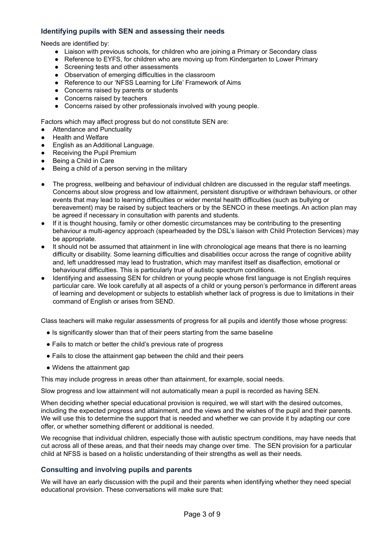## **Identifying pupils with SEN and assessing their needs**

Needs are identified by:

- Liaison with previous schools, for children who are joining a Primary or Secondary class
- Reference to EYFS, for children who are moving up from Kindergarten to Lower Primary
- Screening tests and other assessments
- Observation of emerging difficulties in the classroom
- Reference to our 'NFSS Learning for Life' Framework of Aims
- Concerns raised by parents or students
- Concerns raised by teachers
- Concerns raised by other professionals involved with young people.

Factors which may affect progress but do not constitute SEN are:

- Attendance and Punctuality
- **Health and Welfare**
- English as an Additional Language.
- **Receiving the Pupil Premium**
- Being a Child in Care
- Being a child of a person serving in the military
- The progress, wellbeing and behaviour of individual children are discussed in the regular staff meetings. Concerns about slow progress and low attainment, persistent disruptive or withdrawn behaviours, or other events that may lead to learning difficulties or wider mental health difficulties (such as bullying or bereavement) may be raised by subject teachers or by the SENCO in these meetings. An action plan may be agreed if necessary in consultation with parents and students.
- If it is thought housing, family or other domestic circumstances may be contributing to the presenting behaviour a multi-agency approach (spearheaded by the DSL's liaison with Child Protection Services) may be appropriate.
- It should not be assumed that attainment in line with chronological age means that there is no learning difficulty or disability. Some learning difficulties and disabilities occur across the range of cognitive ability and, left unaddressed may lead to frustration, which may manifest itself as disaffection, emotional or behavioural difficulties. This is particularly true of autistic spectrum conditions.
- Identifying and assessing SEN for children or young people whose first language is not English requires particular care. We look carefully at all aspects of a child or young person's performance in different areas of learning and development or subjects to establish whether lack of progress is due to limitations in their command of English or arises from SEND.

Class teachers will make regular assessments of progress for all pupils and identify those whose progress:

- Is significantly slower than that of their peers starting from the same baseline
- Fails to match or better the child's previous rate of progress
- Fails to close the attainment gap between the child and their peers
- Widens the attainment gap

This may include progress in areas other than attainment, for example, social needs.

Slow progress and low attainment will not automatically mean a pupil is recorded as having SEN.

When deciding whether special educational provision is required, we will start with the desired outcomes, including the expected progress and attainment, and the views and the wishes of the pupil and their parents. We will use this to determine the support that is needed and whether we can provide it by adapting our core offer, or whether something different or additional is needed.

We recognise that individual children, especially those with autistic spectrum conditions, may have needs that cut across all of these areas, and that their needs may change over time. The SEN provision for a particular child at NFSS is based on a holistic understanding of their strengths as well as their needs.

## **Consulting and involving pupils and parents**

We will have an early discussion with the pupil and their parents when identifying whether they need special educational provision. These conversations will make sure that: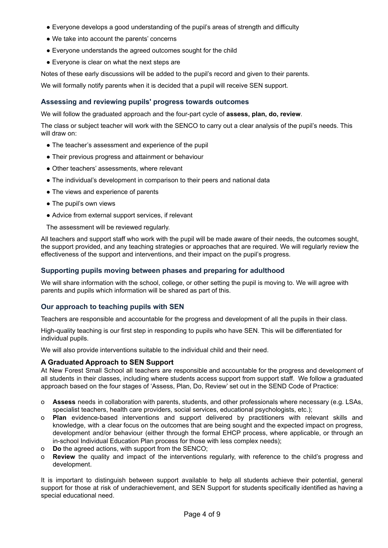- Everyone develops a good understanding of the pupil's areas of strength and difficulty
- We take into account the parents' concerns
- Everyone understands the agreed outcomes sought for the child
- Everyone is clear on what the next steps are

Notes of these early discussions will be added to the pupil's record and given to their parents.

We will formally notify parents when it is decided that a pupil will receive SEN support.

## **Assessing and reviewing pupils' progress towards outcomes**

We will follow the graduated approach and the four-part cycle of **assess, plan, do, review**.

The class or subject teacher will work with the SENCO to carry out a clear analysis of the pupil's needs. This will draw on:

- The teacher's assessment and experience of the pupil
- Their previous progress and attainment or behaviour
- Other teachers' assessments, where relevant
- The individual's development in comparison to their peers and national data
- The views and experience of parents
- The pupil's own views
- Advice from external support services, if relevant
- The assessment will be reviewed regularly.

All teachers and support staff who work with the pupil will be made aware of their needs, the outcomes sought, the support provided, and any teaching strategies or approaches that are required. We will regularly review the effectiveness of the support and interventions, and their impact on the pupil's progress.

## **Supporting pupils moving between phases and preparing for adulthood**

We will share information with the school, college, or other setting the pupil is moving to. We will agree with parents and pupils which information will be shared as part of this.

#### **Our approach to teaching pupils with SEN**

Teachers are responsible and accountable for the progress and development of all the pupils in their class.

High-quality teaching is our first step in responding to pupils who have SEN. This will be differentiated for individual pupils.

We will also provide interventions suitable to the individual child and their need.

#### **A Graduated Approach to SEN Support**

At New Forest Small School all teachers are responsible and accountable for the progress and development of all students in their classes, including where students access support from support staff. We follow a graduated approach based on the four stages of 'Assess, Plan, Do, Review' set out in the SEND Code of Practice:

- o **Assess** needs in collaboration with parents, students, and other professionals where necessary (e.g. LSAs, specialist teachers, health care providers, social services, educational psychologists, etc.);
- o **Plan** evidence-based interventions and support delivered by practitioners with relevant skills and knowledge, with a clear focus on the outcomes that are being sought and the expected impact on progress, development and/or behaviour (either through the formal EHCP process, where applicable, or through an in-school Individual Education Plan process for those with less complex needs);
- o **Do** the agreed actions, with support from the SENCO;
- o **Review** the quality and impact of the interventions regularly, with reference to the child's progress and development.

It is important to distinguish between support available to help all students achieve their potential, general support for those at risk of underachievement, and SEN Support for students specifically identified as having a special educational need.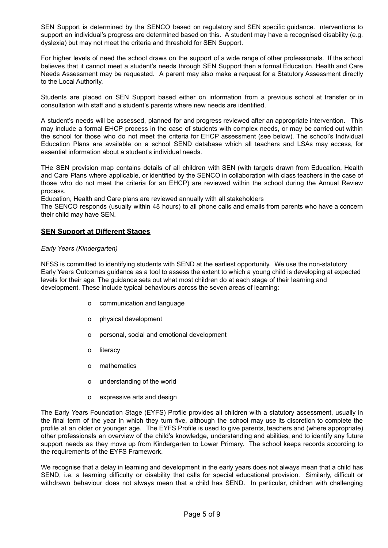SEN Support is determined by the SENCO based on regulatory and SEN specific guidance. nterventions to support an individual's progress are determined based on this. A student may have a recognised disability (e.g. dyslexia) but may not meet the criteria and threshold for SEN Support.

For higher levels of need the school draws on the support of a wide range of other professionals. If the school believes that it cannot meet a student's needs through SEN Support then a formal Education, Health and Care Needs Assessment may be requested. A parent may also make a request for a Statutory Assessment directly to the Local Authority.

Students are placed on SEN Support based either on information from a previous school at transfer or in consultation with staff and a student's parents where new needs are identified.

A student's needs will be assessed, planned for and progress reviewed after an appropriate intervention. This may include a formal EHCP process in the case of students with complex needs, or may be carried out within the school for those who do not meet the criteria for EHCP assessment (see below). The school's Individual Education Plans are available on a school SEND database which all teachers and LSAs may access, for essential information about a student's individual needs.

THe SEN provision map contains details of all children with SEN (with targets drawn from Education, Health and Care Plans where applicable, or identified by the SENCO in collaboration with class teachers in the case of those who do not meet the criteria for an EHCP) are reviewed within the school during the Annual Review process.

Education, Health and Care plans are reviewed annually with all stakeholders

The SENCO responds (usually within 48 hours) to all phone calls and emails from parents who have a concern their child may have SEN.

### **SEN Support at Different Stages**

#### *Early Years (Kindergarten)*

NFSS is committed to identifying students with SEND at the earliest opportunity. We use the non-statutory Early Years Outcomes guidance as a tool to assess the extent to which a young child is developing at expected levels for their age. The guidance sets out what most children do at each stage of their learning and development. These include typical behaviours across the seven areas of learning:

- o communication and language
- o physical development
- o personal, social and emotional development
- o literacy
- o mathematics
- o understanding of the world
- o expressive arts and design

The Early Years Foundation Stage (EYFS) Profile provides all children with a statutory assessment, usually in the final term of the year in which they turn five, although the school may use its discretion to complete the profile at an older or younger age. The EYFS Profile is used to give parents, teachers and (where appropriate) other professionals an overview of the child's knowledge, understanding and abilities, and to identify any future support needs as they move up from Kindergarten to Lower Primary. The school keeps records according to the requirements of the EYFS Framework.

We recognise that a delay in learning and development in the early years does not always mean that a child has SEND, i.e. a learning difficulty or disability that calls for special educational provision. Similarly, difficult or withdrawn behaviour does not always mean that a child has SEND. In particular, children with challenging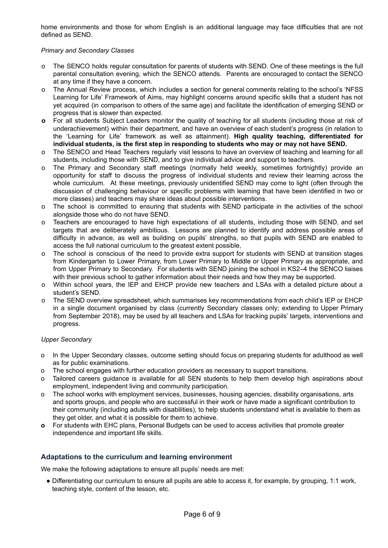home environments and those for whom English is an additional language may face difficulties that are not defined as SEND.

#### *Primary and Secondary Classes*

- o The SENCO holds regular consultation for parents of students with SEND. One of these meetings is the full parental consultation evening, which the SENCO attends. Parents are encouraged to contact the SENCO at any time if they have a concern.
- o The Annual Review process, which includes a section for general comments relating to the school's 'NFSS Learning for Life' Framework of Aims, may highlight concerns around specific skills that a student has not yet acquired (in comparison to others of the same age) and facilitate the identification of emerging SEND or progress that is slower than expected.
- **o** For all students Subject Leaders monitor the quality of teaching for all students (including those at risk of underachievement) within their department, and have an overview of each student's progress (in relation to the 'Learning for Life' framework as well as attainment). **High quality teaching, differentiated for individual students, is the first step in responding to students who may or may not have SEND.**
- o The SENCO and Head Teachers regularly visit lessons to have an overview of teaching and learning for all students, including those with SEND, and to give individual advice and support to teachers.
- The Primary and Secondary staff meetings (normally held weekly, sometimes fortnightly) provide an opportunity for staff to discuss the progress of individual students and review their learning across the whole curriculum. At these meetings, previously unidentified SEND may come to light (often through the discussion of challenging behaviour or specific problems with learning that have been identified in two or more classes) and teachers may share ideas about possible interventions.
- o The school is committed to ensuring that students with SEND participate in the activities of the school alongside those who do not have SEND.
- o Teachers are encouraged to have high expectations of all students, including those with SEND, and set targets that are deliberately ambitious. Lessons are planned to identify and address possible areas of difficulty in advance, as well as building on pupils' strengths, so that pupils with SEND are enabled to access the full national curriculum to the greatest extent possible,
- The school is conscious of the need to provide extra support for students with SEND at transition stages from Kindergarten to Lower Primary, from Lower Primary to Middle or Upper Primary as appropriate, and from Upper Primary to Secondary. For students with SEND joining the school in KS2–4 the SENCO liaises with their previous school to gather information about their needs and how they may be supported.
- Within school years, the IEP and EHCP provide new teachers and LSAs with a detailed picture about a student's SEND.
- o The SEND overview spreadsheet, which summarises key recommendations from each child's IEP or EHCP in a single document organised by class (currently Secondary classes only; extending to Upper Primary from September 2018), may be used by all teachers and LSAs for tracking pupils' targets, interventions and progress.

#### *Upper Secondary*

- o In the Upper Secondary classes, outcome setting should focus on preparing students for adulthood as well as for public examinations.
- o The school engages with further education providers as necessary to support transitions.
- o Tailored careers guidance is available for all SEN students to help them develop high aspirations about employment, independent living and community participation.
- The school works with employment services, businesses, housing agencies, disability organisations, arts and sports groups, and people who are successful in their work or have made a significant contribution to their community (including adults with disabilities), to help students understand what is available to them as they get older, and what it is possible for them to achieve.
- **o** For students with EHC plans, Personal Budgets can be used to access activities that promote greater independence and important life skills.

## **Adaptations to the curriculum and learning environment**

We make the following adaptations to ensure all pupils' needs are met:

● Differentiating our curriculum to ensure all pupils are able to access it, for example, by grouping, 1:1 work, teaching style, content of the lesson, etc.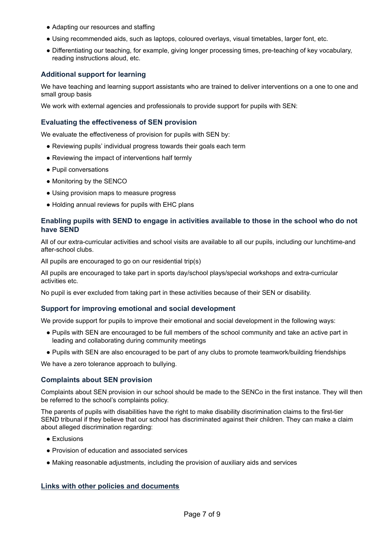- Adapting our resources and staffing
- Using recommended aids, such as laptops, coloured overlays, visual timetables, larger font, etc.
- Differentiating our teaching, for example, giving longer processing times, pre-teaching of key vocabulary, reading instructions aloud, etc.

### **Additional support for learning**

We have teaching and learning support assistants who are trained to deliver interventions on a one to one and small group basis

We work with external agencies and professionals to provide support for pupils with SEN:

#### **Evaluating the effectiveness of SEN provision**

We evaluate the effectiveness of provision for pupils with SEN by:

- Reviewing pupils' individual progress towards their goals each term
- Reviewing the impact of interventions half termly
- Pupil conversations
- Monitoring by the SENCO
- Using provision maps to measure progress
- Holding annual reviews for pupils with EHC plans

#### **Enabling pupils with SEND to engage in activities available to those in the school who do not have SEND**

All of our extra-curricular activities and school visits are available to all our pupils, including our lunchtime-and after-school clubs.

All pupils are encouraged to go on our residential trip(s)

All pupils are encouraged to take part in sports day/school plays/special workshops and extra-curricular activities etc.

No pupil is ever excluded from taking part in these activities because of their SEN or disability.

#### **Support for improving emotional and social development**

We provide support for pupils to improve their emotional and social development in the following ways:

- Pupils with SEN are encouraged to be full members of the school community and take an active part in leading and collaborating during community meetings
- Pupils with SEN are also encouraged to be part of any clubs to promote teamwork/building friendships

We have a zero tolerance approach to bullying.

#### **Complaints about SEN provision**

Complaints about SEN provision in our school should be made to the SENCo in the first instance. They will then be referred to the school's complaints policy.

The parents of pupils with disabilities have the right to make disability discrimination claims to the first-tier SEND tribunal if they believe that our school has discriminated against their children. They can make a claim about alleged discrimination regarding:

- Exclusions
- Provision of education and associated services
- Making reasonable adjustments, including the provision of auxiliary aids and services

#### **Links with other policies and documents**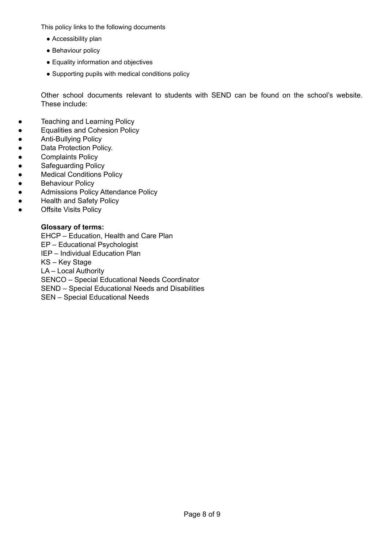This policy links to the following documents

- Accessibility plan
- Behaviour policy
- Equality information and objectives
- Supporting pupils with medical conditions policy

Other school documents relevant to students with SEND can be found on the school's website. These include:

- Teaching and Learning Policy
- Equalities and Cohesion Policy
- Anti-Bullying Policy
- Data Protection Policy.
- Complaints Policy
- Safeguarding Policy
- Medical Conditions Policy
- **•** Behaviour Policy
- Admissions Policy Attendance Policy
- Health and Safety Policy
- Offsite Visits Policy

# **Glossary of terms:**

EHCP – Education, Health and Care Plan EP – Educational Psychologist IEP – Individual Education Plan KS – Key Stage LA – Local Authority SENCO – Special Educational Needs Coordinator SEND – Special Educational Needs and Disabilities SEN – Special Educational Needs